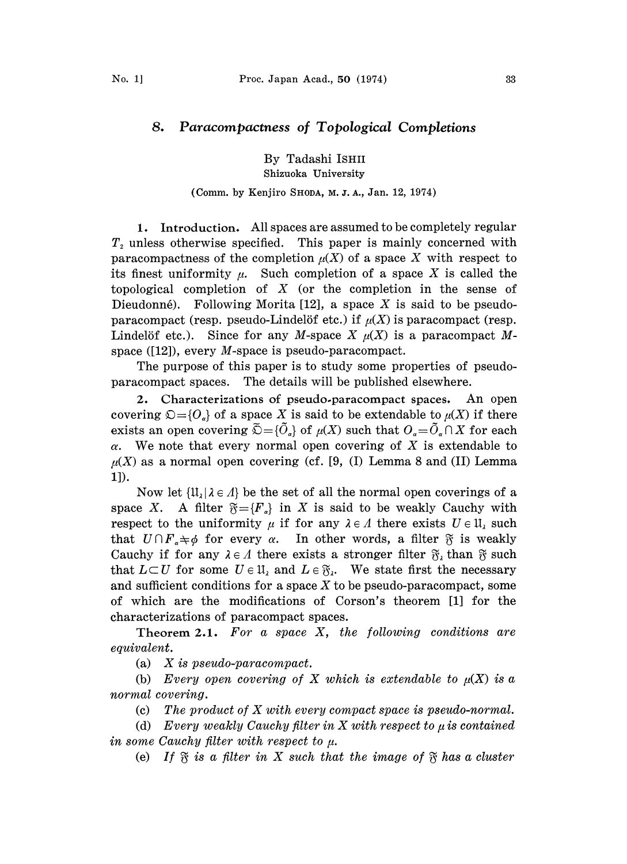## 8. Paracompacmess of Topological Completions

By Tadashi ISHII Shizuoka University

## (Comm. by Kenjiro SHODA, M. J. A., Jan. 12, 1974)

1. Introduction. All spaces are assumed to be completely regular  $T<sub>2</sub>$  unless otherwise specified. This paper is mainly concerned with paracompactness of the completion  $\mu(X)$  of a space X with respect to its finest uniformity  $\mu$ . Such completion of a space X is called the topological completion of  $X$  (or the completion in the sense of Dieudonné). Following Morita  $[12]$ , a space X is said to be pseudoparacompact (resp. pseudo-Lindelöf etc.) if  $\mu(X)$  is paracompact (resp. Lindelöf etc.). Since for any M-space X  $\mu(X)$  is a paracompact Mspace ([12]), every M-space is pseudo-paracompact.

The purpose of this paper is to study some properties of pseudoparacompact spaces. The details will be published elsewhere.

2. Characterizations of pseudo.paracompact spaces. An open covering  $\mathfrak{O}=\{O_{\alpha}\}\$  of a space X is said to be extendable to  $\mu(X)$  if there exists an open covering  $\tilde{\mathcal{D}} = {\{\tilde{O}_\alpha\}}$  of  $\mu(X)$  such that  $O_\alpha = \tilde{O}_\alpha \cap X$  for each  $\alpha$ . We note that every normal open covering of X is extendable to  $\mu(X)$  as a normal open covering (cf. [9, (I) Lemma 8 and (II) Lemma 1]).

Now let  $\{\mathfrak{U}_i | \lambda \in \Lambda\}$  be the set of all the normal open coverings of a space X. A filter  $\mathfrak{F}=\{F_{\alpha}\}\$ in X is said to be weakly Cauchy with respect to the uniformity  $\mu$  if for any  $\lambda \in A$  there exists  $U \in \mathfrak{U}_{\lambda}$  such that  $U \cap F_a \neq \emptyset$  for every  $\alpha$ . In other words, a filter  $\mathfrak{F}$  is weakly Cauchy if for any  $\lambda \in \Lambda$  there exists a stronger filter  $\mathfrak{F}_\lambda$  than  $\mathfrak{F}$  such that  $L\subset U$  for some  $U\in\mathfrak{U}_\lambda$  and  $L\in\mathfrak{F}_\lambda$ . We state first the necessary and sufficient conditions for a space  $X$  to be pseudo-paracompact, some of which are the modifications of Corson's theorem [1] for the characterizations of paracompact spaces.

Theorem 2.1. For a space  $X$ , the following conditions are equivalent.

(a) X is pseudo-paracompact.

(b) Every open covering of X which is extendable to  $\mu(X)$  is a normal covering.

(c) The product of  $X$  with every compact space is pseudo-normal.

(d) Every weakly Cauchy filter in X with respect to  $\mu$  is contained in some Cauchy filter with respect to  $\mu$ .

(e) If  $\tilde{\mathcal{R}}$  is a filter in X such that the image of  $\tilde{\mathcal{R}}$  has a cluster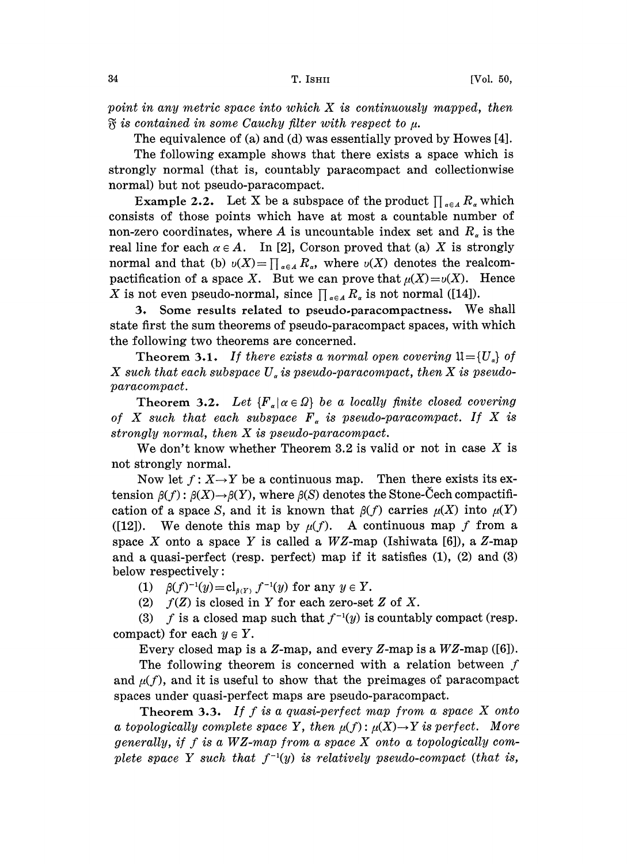point in any metric space into which X is continuously mapped, then  $\mathfrak{F}$  is contained in some Cauchy filter with respect to  $\mu$ .

The equivalence of (a) and (d) was essentially proved by Howes [4].

The following example shows that there exists a space which is strongly normal (that is, countably paracompact and collectionwise normal) but not pseudo-paracompact.

**Example 2.2.** Let X be a subspace of the product  $\prod_{\alpha \in A} R_{\alpha}$  which consists of those points which have at most a countable number of non-zero coordinates, where A is uncountable index set and  $R_a$  is the real line for each  $\alpha \in A$ . In [2], Corson proved that (a) X is strongly normal and that (b)  $v(X) = \prod_{\alpha \in A} R_{\alpha}$ , where  $v(X)$  denotes the realcompactification of a space X. But we can prove that  $\mu(X) = \nu(X)$ . Hence X is not even pseudo-normal, since  $\prod_{\alpha \in A} R_{\alpha}$  is not normal ([14]).

:3, Some results related to pseudo.paracompactness. We shall state first the sum theorems of pseudo-paracompact spaces, with which the following two theorems are concerned.

Theorem 3.1. If there exists a normal open covering  $\mathfrak{U}=\{U_a\}$  of X such that each subspace  $U_a$  is pseudo-paracompact, then X is pseudoparacompact.

Theorem 3.2. Let  ${F_{\alpha} | \alpha \in \Omega}$  be a locally finite closed covering of X such that each subspace  $F_a$  is pseudo-paracompact. If X is strongly normal, then X is pseudo-paracompact.

We don't know whether Theorem 3.2 is valid or not in case  $X$  is not strongly normal.

Now let  $f: X \rightarrow Y$  be a continuous map. Then there exists its extension  $\beta(f)$ :  $\beta(X) \rightarrow \beta(Y)$ , where  $\beta(S)$  denotes the Stone-Cech compactification of a space S, and it is known that  $\beta(f)$  carries  $\mu(X)$  into  $\mu(Y)$ ([12]). We denote this map by  $\mu(f)$ . A continuous map f from a space X onto a space Y is called a  $WZ$ -map (Ishiwata [6]), a Z-map and a quasi-perfect (resp. perfect) map if it satisfies (1), (2) and (3) below respectively:

(1)  $\beta(f)^{-1}(y)=\mathrm{cl}_{\beta(Y)} f^{-1}(y)$  for any  $y \in Y$ .

(2)  $f(Z)$  is closed in Y for each zero-set Z of X.

(3) f is a closed map such that  $f^{-1}(y)$  is countably compact (resp. compact) for each  $y \in Y$ .

Every closed map is a  $Z$ -map, and every  $Z$ -map is a  $WZ$ -map ([6]).

The following theorem is concerned with a relation between  $f$ and  $\mu(f)$ , and it is useful to show that the preimages of paracompact spaces under quasi-perfect maps are pseudo-paracompact.

**Theorem 3.3.** If f is a quasi-perfect map from a space  $X$  onto a topologically complete space Y, then  $\mu(f)$ :  $\mu(X) \rightarrow Y$  is perfect. More generally, if f is a  $WZ$ -map from a space X onto a topologically complete space Y such that  $f^{-1}(y)$  is relatively pseudo-compact (that is,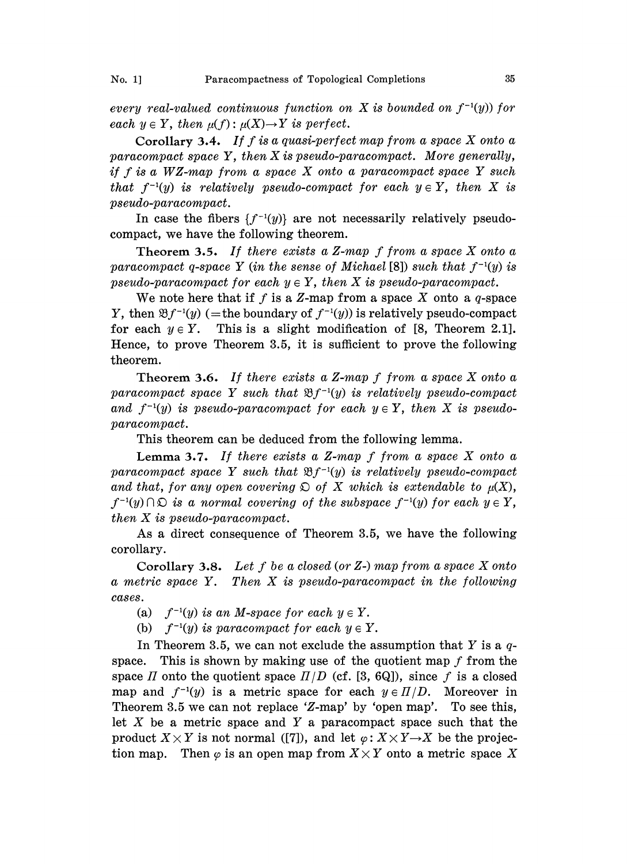every real-valued continuous function on X is bounded on  $f^{-1}(y)$  for each  $y \in Y$ , then  $\mu(f)$ :  $\mu(X) \rightarrow Y$  is perfect.

Corollary 3.4. If f is a quasi-perfect map from a space  $X$  onto a paracompact space Y, then X is pseudo-paracompact. More generally, if  $f$  is a WZ-map from a space  $X$  onto a paracompact space  $Y$  such that  $f^{-1}(y)$  is relatively pseudo-compact for each  $y \in Y$ , then X is pseudo-paracompact.

In case the fibers  $\{f^{-1}(y)\}\$ are not necessarily relatively pseudocompact, we have the following theorem.

Theorem 3.5. If there exists a Z-map  $f$  from a space  $X$  onto a paracompact q-space Y (in the sense of Michael [8]) such that  $f^{-1}(y)$  is pseudo-paracompact for each  $y \in Y$ , then X is pseudo-paracompact.

We note here that if f is a Z-map from a space X onto a  $q$ -space Y, then  $\mathfrak{B}f^{-1}(y)$  (= the boundary of  $f^{-1}(y)$ ) is relatively pseudo-compact for each  $y \in Y$ . This is a slight modification of [8, Theorem 2.1]. Hence, to prove Theorem 3.5, it is sufficient to prove the following theorem.

Theorem 3.6. If there exists a Z-map  $f$  from a space  $X$  onto a paracompact space Y such that  $\mathfrak{B}f^{-1}(y)$  is relatively pseudo-compact and  $f^{-1}(y)$  is pseudo-paracompact for each  $y \in Y$ , then X is pseudoparacompact.

This theorem can be deduced from the following lemma.

**Lemma 3.7.** If there exists a  $Z$ -map f from a space  $X$  onto a paracompact space Y such that  $\mathfrak{B}f^{-1}(y)$  is relatively pseudo-compact and that, for any open covering  $\mathfrak{D}$  of X which is extendable to  $\mu(X)$ ,  $f^{-1}(y) \cap \mathfrak{O}$  is a normal covering of the subspace  $f^{-1}(y)$  for each  $y \in Y$ , then X is pseudo-paracompact.

As a direct consequence of Theorem 3.5, we have the following corollary.

Corollary 3.8. Let f be a closed (or  $Z$ -) map from a space  $X$  onto <sup>a</sup> metric space Y. Then X is pseudo-paracompact in the following cases.

(a)  $f^{-1}(y)$  is an M-space for each  $y \in Y$ .

(b)  $f^{-1}(y)$  is paracompact for each  $y \in Y$ .

In Theorem 3.5, we can not exclude the assumption that Y is a  $q$ space. This is shown by making use of the quotient map  $f$  from the space II onto the quotient space  $I/D$  (cf. [3, 6Q]), since f is a closed map and  $f^{-1}(y)$  is a metric space for each  $y \in \Pi/D$ . Moreover in Theorem 3.5 we can not replace 'Z-map' by 'open map'. To see this, let  $X$  be a metric space and  $Y$  a paracompact space such that the product  $X \times Y$  is not normal ([7]), and let  $\varphi: X \times Y \to X$  be the projection map. Then  $\varphi$  is an open map from  $X \times Y$  onto a metric space X tion map. Then  $\varphi$  is an open map from  $X \times Y$  onto a metric space X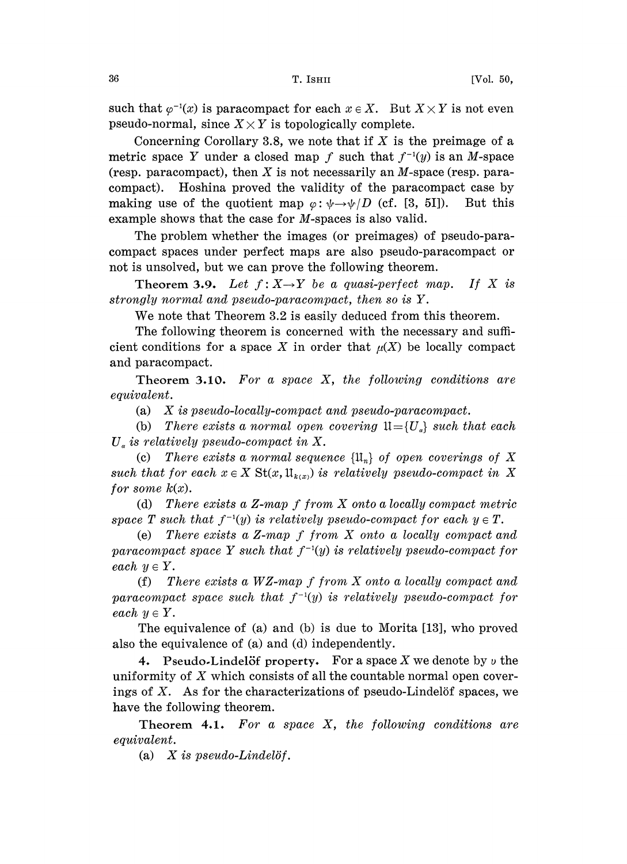such that  $\varphi^{-1}(x)$  is paracompact for each  $x \in X$ . But  $X \times Y$  is not even pseudo-normal, since  $X \times Y$  is topologically complete.

Concerning Corollary 3.8, we note that if  $X$  is the preimage of a metric space Y under a closed map f such that  $f^{-1}(y)$  is an M-space (resp. paracompact), then X is not necessarily an  $M$ -space (resp. paracompact). Hoshina proved the validity of the paracompact case by making use of the quotient map  $\varphi: \psi \rightarrow \psi/D$  (cf. [3, 5I]). But this example shows that the case for M-spaces is also valid.

The problem whether the images (or preimages) of pseudo-paracompact spaces under perfect maps are also pseudo-paracompact or not is unsolved, but we can prove the following theorem.

Theorem 3.9. Let  $f: X \rightarrow Y$  be a quasi-perfect map. If X is strongly normal and pseudo-paracompact, then so is Y.

We note that Theorem 3.2 is easily deduced from this theorem.

The following theorem is concerned with the necessary and sufficient conditions for a space X in order that  $\mu(X)$  be locally compact and paracompact.

Theorem 3.10. For a space  $X$ , the following conditions are equivalent.

(a) X is pseudo-locally-compact and pseudo-paracompact.

(b) There exists a normal open covering  $\mathfrak{U}=\{U_a\}$  such that each  $U_a$  is relatively pseudo-compact in X.<br>(c) There exists a normal seque

There exists a normal sequence  $\{\mathfrak{U}_n\}$  of open coverings of X such that for each  $x \in X$  St $(x, \mathfrak{U}_{k(x)})$  is relatively pseudo-compact in X for some  $k(x)$ .

(d) There exists <sup>a</sup> Z-map f from X onto <sup>a</sup> locally compact metric space T such that  $f^{-1}(y)$  is relatively pseudo-compact for each  $y \in T$ .

(e) There exists <sup>a</sup> Z-map f from X onto <sup>a</sup> locally compact and paracompact space Y such that  $f^{-1}(y)$  is relatively pseudo-compact for each  $y \in Y$ .

(f) There exists <sup>a</sup> WZ-map f from X onto <sup>a</sup> locally compact and paracompact space such that  $f^{-1}(y)$  is relatively pseudo-compact for each  $y \in Y$ .

The equivalence of (a) and (b) is due to Morita [13], who proved also the equivalence of (a) and (d) independently.

4. Pseudo-Lindelöf property. For a space X we denote by  $\nu$  the uniformity of  $X$  which consists of all the countable normal open coverings of  $X$ . As for the characterizations of pseudo-Lindelöf spaces, we have the following theorem.

Theorem 4.1. For a space  $X$ , the following conditions are equivalent.

(a)  $X$  is pseudo-Lindelöf.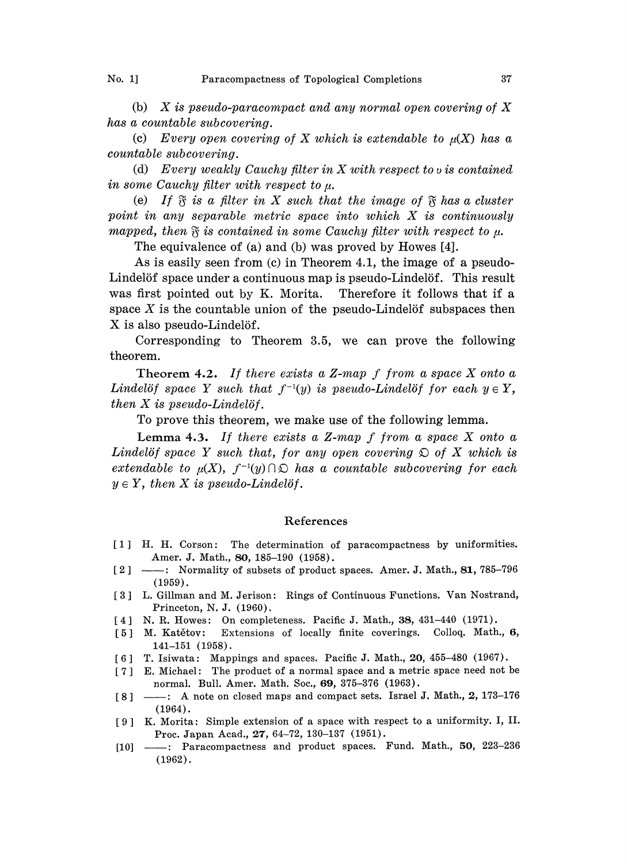No. 1] Paracompactness of Topological Completions 37

(b)  $X$  is pseudo-paracompact and any normal open covering of  $X$ has a countable subcovering.

(c) Every open covering of X which is extendable to  $\mu(X)$  has a countable subcovering.

(d) Every weakly Cauchy filter in  $X$  with respect to v is contained in some Cauchy filter with respect to  $\mu$ .

(e) If  $\mathfrak{F}$  is a filter in X such that the image of  $\mathfrak{F}$  has a cluster point in any separable metric space into which X is continuously mapped, then  $\mathfrak F$  is contained in some Cauchy filter with respect to  $\mu$ .

The equivalence of (a) and (b) was proved by Howes [4].

As is easily seen from (c) in Theorem 4.1, the image of a pseudo-Lindelöf space under a continuous map is pseudo-Lindelöf. This result was first pointed out by K. Morita. Therefore it follows that if a space  $X$  is the countable union of the pseudo-Lindelöf subspaces then X is also pseudo-Lindelöf.

Corresponding to Theorem 3.5, we can prove the following theorem.

Theorem 4.2. If there exists a Z-map f from a space X onto a Lindelöf space Y such that  $f^{-1}(y)$  is pseudo-Lindelöf for each  $y \in Y$ , then  $X$  is pseudo-Lindelöf.

To prove this theorem, we make use of the following lemma.

Lemma 4.3. If there exists a Z-map  $f$  from a space  $X$  onto a Lindelöf space Y such that, for any open covering  $\mathfrak{D}$  of X which is extendable to  $\mu(X)$ ,  $f^{-1}(y) \cap \mathfrak{O}$  has a countable subcovering for each  $y \in Y$ , then X is pseudo-Lindelöf.

## References

- [1] H. H. Corson: The. determination of paracompactness by uniformities. [1] H. H. Corson: The determination of paracompactness by uniformities.<br>
Amer. J. Math., 80, 185–190 (1958).<br>
[2] — : Normality of subsets of product spaces. Amer. J. Math., 81, 785–796<br>
(1959). Amer. J. Math., 80, 185-190 (1958).
- (1959).
- L. Gillman and M. Jerison: Rings of Continuous Functions. Van Nostrand, Princeton, N. J. (1960).
- [4] N. R. Howes: On completeness. Pacific J. Math., 38, 431-440 (1971).
- [5] M. Katětov: Extensions of locally finite coverings. Colloq. Math., 6, 141-151 (1958).
- [6] T. Isiwata: Mappings and spaces. Pacific J. Math., 20, 455-480 (1967).
- [7] E. Michael: The product of a normal space and a metric space need not be [7] E. Michael: The product of a normal space and a metric space need not be normal. Bull. Amer. Math., Soc., 69, 375–376 (1963).<br>[8] -----: A note on closed maps and compact sets. Israel J. Math., 2, 173–176 (1964). normal. Bull. Amer. Math. Soc., 69, 375-376 (1963).
- (1964).
- [9] K. Morita: Simple extension of a space with respect to a uniformity. I, II. [9] K. Morita: Simple extension of a space with respect to a uniformity. I, II.<br>Proc. Japan Acad., 27, 64–72, 130–137 (1951).<br>[10] — : Paracompactness and product spaces. Fund. Math., 50, 223–236<br>(1962). Proc. Japan Acad., 27, 64-72, 130-137 (1951).
- (1962).